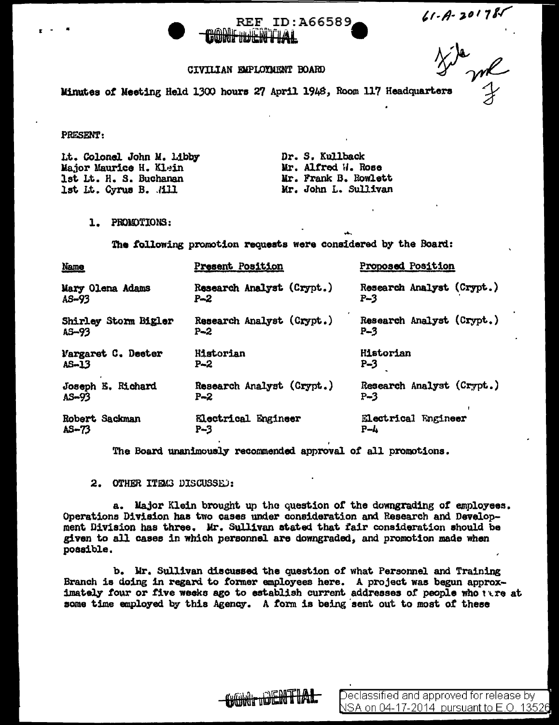

## CIVILIAN EMPLOYMENT BOARD

 $41 - A - 201787$ 

Minutes of Meeting Held 1300 hours 27 April 1948, Room 117 Headquarters

PRESENT:

Lt. Colonel John M. Libby Major Maurice H. Klein lst Lt. H. S. Buchanan lst Lt. Cyrus B. ./ill

Dr. S, Kullback Mr. Alfred W. Rose Mr. Frank B. Rowlett Mr. John L. Sullivan

l. PROWTIONS:

The following promotion requests were considered by the Board:

| <b>Name</b>          | Present Position          | Proposed Position         |
|----------------------|---------------------------|---------------------------|
| Mary Olena Adams     | Research Analyst (Crypt.) | Research Analyst (Crypt.) |
| AS-93                | $P - 2$                   | $P-3$                     |
| Shirley Storm Bigler | Research Analyst (Crypt.) | Research Analyst (Crypt.) |
| AS-93                | $P - 2$                   | $P-3$                     |
| Margaret C. Deeter   | Historian                 | Historian                 |
| $AS - 13$            | P~2                       | P-3                       |
| Joseph E. Richard    | Research Analyst (Crypt.) | Research Analyst (Crypt.) |
| $A5 - 93$            | $P - 2$                   | $P-3$                     |
| Robert Sackman       | Electrical Engineer       | Electrical Engineer       |
| $A5 - 73$            | P-3                       | $P - L$                   |

The Board unanimously recommended approval of all promotions.

2. OTHER ITEMS DISCUSSED:

a. Major Klein brought up the question or the downgrading *ot* employees. Operations Division baa two cases under consideration and Research and Development Division has three. Mr. Sullivan stated that fair consideration should be given to all cases in which personnel are downgraded, and promotion made when possible.

b. Mr. Sullivan discussed. the question of what Personnel and Training Branch is doing in regard to former employees here. A project was begun approximately four or five weeks ago to establish current addresses of people who  $t$  at some time employed by this Agency. A form is being'sent out to most *ot* these